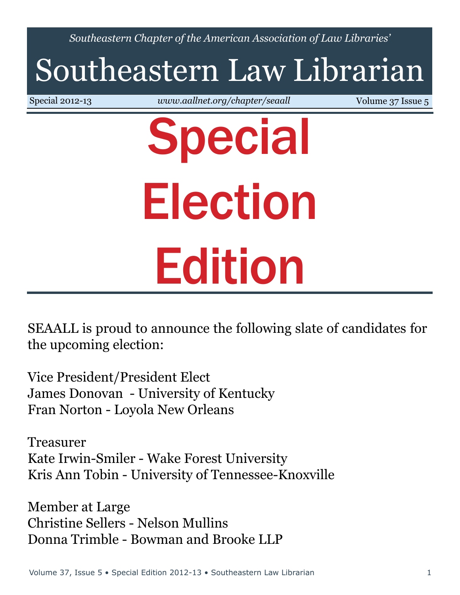*Southeastern Chapter of the American Association of Law Libraries'*

# Southeastern Law Librarian

Special 2012-13 *<www.aallnet.org/chapter/seaall>* Volume 37 Issue 5

# Special Election Edition

SEAALL is proud to announce the following slate of candidates for the upcoming election:

Vice President/President Elect James Donovan - University of Kentucky Fran Norton - Loyola New Orleans

Treasurer Kate Irwin-Smiler - Wake Forest University Kris Ann Tobin - University of Tennessee-Knoxville

Member at Large Christine Sellers - Nelson Mullins Donna Trimble - Bowman and Brooke LLP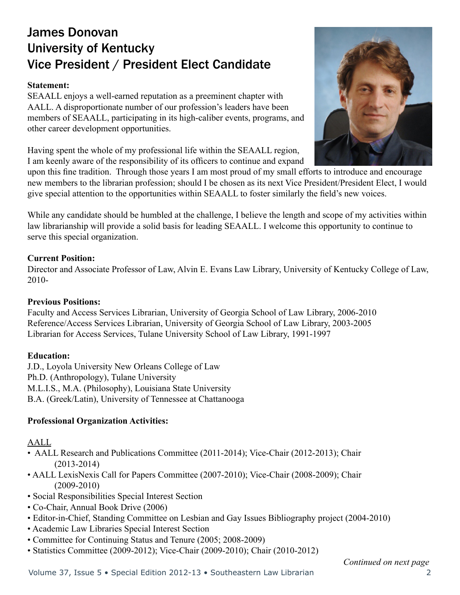# James Donovan University of Kentucky Vice President / President Elect Candidate

#### **Statement:**

SEAALL enjoys a well-earned reputation as a preeminent chapter with AALL. A disproportionate number of our profession's leaders have been members of SEAALL, participating in its high-caliber events, programs, and other career development opportunities.

Having spent the whole of my professional life within the SEAALL region, I am keenly aware of the responsibility of its officers to continue and expand

upon this fine tradition. Through those years I am most proud of my small efforts to introduce and encourage new members to the librarian profession; should I be chosen as its next Vice President/President Elect, I would give special attention to the opportunities within SEAALL to foster similarly the field's new voices.

While any candidate should be humbled at the challenge, I believe the length and scope of my activities within law librarianship will provide a solid basis for leading SEAALL. I welcome this opportunity to continue to serve this special organization.

#### **Current Position:**

Director and Associate Professor of Law, Alvin E. Evans Law Library, University of Kentucky College of Law, 2010-

#### **Previous Positions:**

Faculty and Access Services Librarian, University of Georgia School of Law Library, 2006-2010 Reference/Access Services Librarian, University of Georgia School of Law Library, 2003-2005 Librarian for Access Services, Tulane University School of Law Library, 1991-1997

#### **Education:**

J.D., Loyola University New Orleans College of Law Ph.D. (Anthropology), Tulane University M.L.I.S., M.A. (Philosophy), Louisiana State University B.A. (Greek/Latin), University of Tennessee at Chattanooga

#### **Professional Organization Activities:**

#### AALL

- AALL Research and Publications Committee (2011-2014); Vice-Chair (2012-2013); Chair (2013-2014)
- AALL LexisNexis Call for Papers Committee (2007-2010); Vice-Chair (2008-2009); Chair (2009-2010)
- Social Responsibilities Special Interest Section
- Co-Chair, Annual Book Drive (2006)
- Editor-in-Chief, Standing Committee on Lesbian and Gay Issues Bibliography project (2004-2010)
- Academic Law Libraries Special Interest Section
- Committee for Continuing Status and Tenure (2005; 2008-2009)
- Statistics Committee (2009-2012); Vice-Chair (2009-2010); Chair (2010-2012)

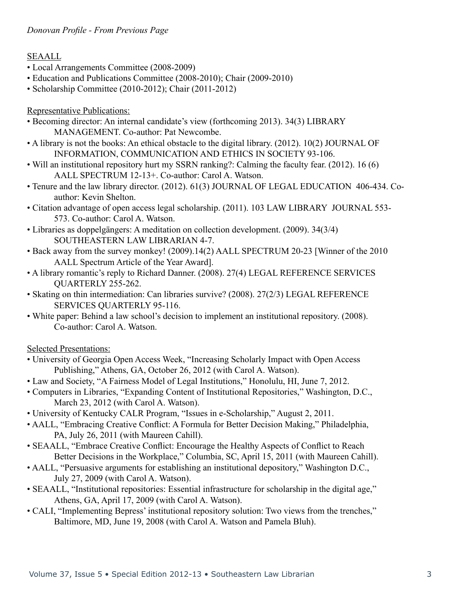#### *Donovan Profile - From Previous Page*

#### SEAALL

- Local Arrangements Committee (2008-2009)
- Education and Publications Committee (2008-2010); Chair (2009-2010)
- Scholarship Committee (2010-2012); Chair (2011-2012)

#### Representative Publications:

- Becoming director: An internal candidate's view (forthcoming 2013). 34(3) LIBRARY MANAGEMENT. Co-author: Pat Newcombe.
- A library is not the books: An ethical obstacle to the digital library. (2012). 10(2) JOURNAL OF INFORMATION, COMMUNICATION AND ETHICS IN SOCIETY 93-106.
- Will an institutional repository hurt my SSRN ranking?: Calming the faculty fear. (2012). 16 (6) AALL SPECTRUM 12-13+. Co-author: Carol A. Watson.
- Tenure and the law library director. (2012). 61(3) JOURNAL OF LEGAL EDUCATION 406-434. Coauthor: Kevin Shelton.
- Citation advantage of open access legal scholarship. (2011). 103 LAW LIBRARY JOURNAL 553- 573. Co-author: Carol A. Watson.
- Libraries as doppelgängers: A meditation on collection development. (2009). 34(3/4) SOUTHEASTERN LAW LIBRARIAN 4-7.
- Back away from the survey monkey! (2009).14(2) AALL SPECTRUM 20-23 [Winner of the 2010 AALL Spectrum Article of the Year Award].
- A library romantic's reply to Richard Danner. (2008). 27(4) LEGAL REFERENCE SERVICES QUARTERLY 255-262.
- Skating on thin intermediation: Can libraries survive? (2008). 27(2/3) LEGAL REFERENCE SERVICES QUARTERLY 95-116.
- White paper: Behind a law school's decision to implement an institutional repository. (2008). Co-author: Carol A. Watson.

Selected Presentations:

- University of Georgia Open Access Week, "Increasing Scholarly Impact with Open Access Publishing," Athens, GA, October 26, 2012 (with Carol A. Watson).
- Law and Society, "A Fairness Model of Legal Institutions," Honolulu, HI, June 7, 2012.
- Computers in Libraries, "Expanding Content of Institutional Repositories," Washington, D.C., March 23, 2012 (with Carol A. Watson).
- University of Kentucky CALR Program, "Issues in e-Scholarship," August 2, 2011.
- AALL, "Embracing Creative Conflict: A Formula for Better Decision Making," Philadelphia, PA, July 26, 2011 (with Maureen Cahill).
- SEAALL, "Embrace Creative Conflict: Encourage the Healthy Aspects of Conflict to Reach Better Decisions in the Workplace," Columbia, SC, April 15, 2011 (with Maureen Cahill).
- AALL, "Persuasive arguments for establishing an institutional depository," Washington D.C., July 27, 2009 (with Carol A. Watson).
- SEAALL, "Institutional repositories: Essential infrastructure for scholarship in the digital age," Athens, GA, April 17, 2009 (with Carol A. Watson).
- CALI, "Implementing Bepress' institutional repository solution: Two views from the trenches," Baltimore, MD, June 19, 2008 (with Carol A. Watson and Pamela Bluh).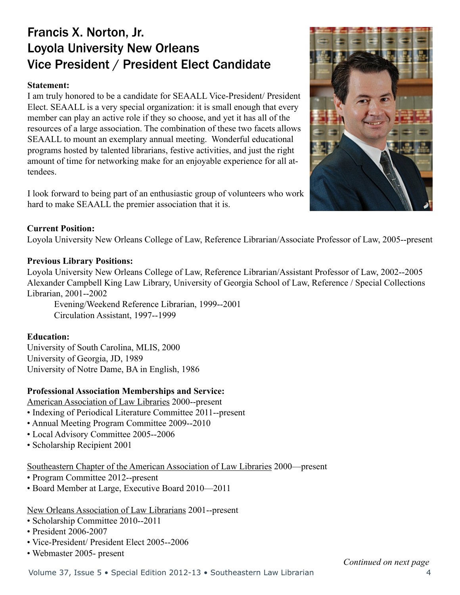# Francis X. Norton, Jr. Loyola University New Orleans Vice President / President Elect Candidate

#### **Statement:**

I am truly honored to be a candidate for SEAALL Vice-President/ President Elect. SEAALL is a very special organization: it is small enough that every member can play an active role if they so choose, and yet it has all of the resources of a large association. The combination of these two facets allows SEAALL to mount an exemplary annual meeting. Wonderful educational programs hosted by talented librarians, festive activities, and just the right amount of time for networking make for an enjoyable experience for all attendees.

I look forward to being part of an enthusiastic group of volunteers who work hard to make SEAALL the premier association that it is.

#### **Current Position:**

Loyola University New Orleans College of Law, Reference Librarian/Associate Professor of Law, 2005--present

#### **Previous Library Positions:**

Loyola University New Orleans College of Law, Reference Librarian/Assistant Professor of Law, 2002--2005 Alexander Campbell King Law Library, University of Georgia School of Law, Reference / Special Collections Librarian, 2001--2002

Evening/Weekend Reference Librarian, 1999--2001 Circulation Assistant, 1997--1999

#### **Education:**

University of South Carolina, MLIS, 2000 University of Georgia, JD, 1989 University of Notre Dame, BA in English, 1986

#### **Professional Association Memberships and Service:**

American Association of Law Libraries 2000--present

- Indexing of Periodical Literature Committee 2011--present
- Annual Meeting Program Committee 2009--2010
- Local Advisory Committee 2005--2006
- Scholarship Recipient 2001

Southeastern Chapter of the American Association of Law Libraries 2000—present

- Program Committee 2012--present
- Board Member at Large, Executive Board 2010—2011

#### New Orleans Association of Law Librarians 2001--present

- Scholarship Committee 2010--2011
- President 2006-2007
- Vice-President/ President Elect 2005--2006
- Webmaster 2005- present

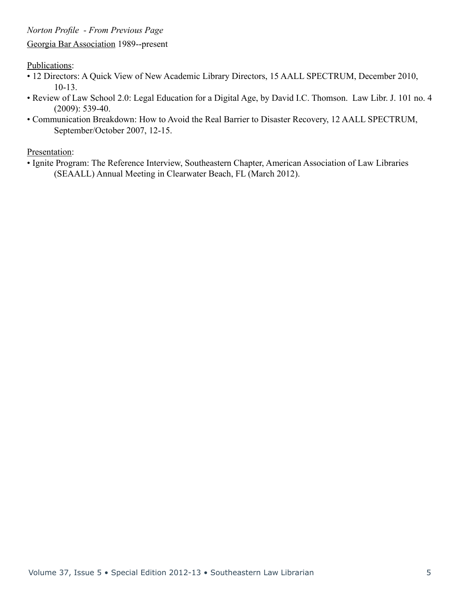Publications:

- 12 Directors: A Quick View of New Academic Library Directors, 15 AALL SPECTRUM, December 2010, 10-13.
- Review of Law School 2.0: Legal Education for a Digital Age, by David I.C. Thomson. Law Libr. J. 101 no. 4 (2009): 539-40.
- Communication Breakdown: How to Avoid the Real Barrier to Disaster Recovery, 12 AALL SPECTRUM, September/October 2007, 12-15.

Presentation:

• Ignite Program: The Reference Interview, Southeastern Chapter, American Association of Law Libraries (SEAALL) Annual Meeting in Clearwater Beach, FL (March 2012).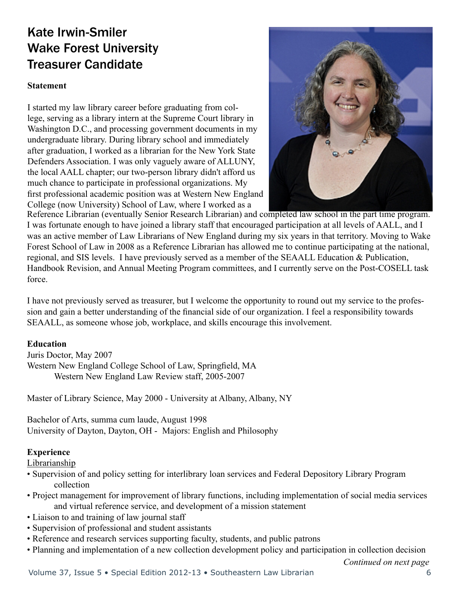# Kate Irwin-Smiler Wake Forest University Treasurer Candidate

#### **Statement**

I started my law library career before graduating from college, serving as a library intern at the Supreme Court library in Washington D.C., and processing government documents in my undergraduate library. During library school and immediately after graduation, I worked as a librarian for the New York State Defenders Association. I was only vaguely aware of ALLUNY, the local AALL chapter; our two-person library didn't afford us much chance to participate in professional organizations. My first professional academic position was at Western New England College (now University) School of Law, where I worked as a



Reference Librarian (eventually Senior Research Librarian) and completed law school in the part time program. I was fortunate enough to have joined a library staff that encouraged participation at all levels of AALL, and I was an active member of Law Librarians of New England during my six years in that territory. Moving to Wake Forest School of Law in 2008 as a Reference Librarian has allowed me to continue participating at the national, regional, and SIS levels. I have previously served as a member of the SEAALL Education & Publication, Handbook Revision, and Annual Meeting Program committees, and I currently serve on the Post-COSELL task force.

I have not previously served as treasurer, but I welcome the opportunity to round out my service to the profession and gain a better understanding of the financial side of our organization. I feel a responsibility towards SEAALL, as someone whose job, workplace, and skills encourage this involvement.

#### **Education**

Juris Doctor, May 2007 Western New England College School of Law, Springfield, MA Western New England Law Review staff, 2005-2007

Master of Library Science, May 2000 - University at Albany, Albany, NY

Bachelor of Arts, summa cum laude, August 1998 University of Dayton, Dayton, OH - Majors: English and Philosophy

#### **Experience**

Librarianship

- Supervision of and policy setting for interlibrary loan services and Federal Depository Library Program collection
- Project management for improvement of library functions, including implementation of social media services and virtual reference service, and development of a mission statement
- Liaison to and training of law journal staff
- Supervision of professional and student assistants
- Reference and research services supporting faculty, students, and public patrons
- Planning and implementation of a new collection development policy and participation in collection decision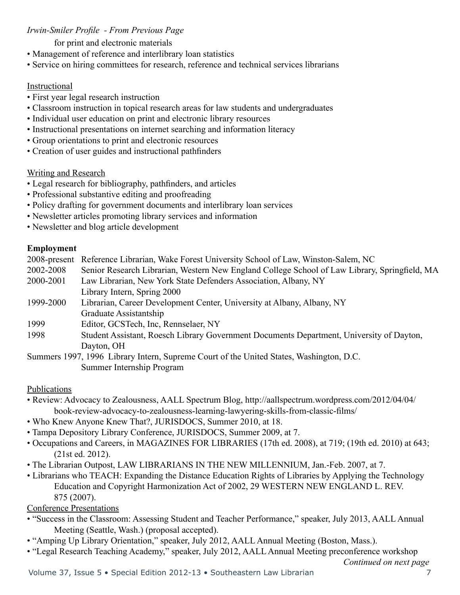#### *Irwin-Smiler Profile - From Previous Page*

#### for print and electronic materials

- Management of reference and interlibrary loan statistics
- Service on hiring committees for research, reference and technical services librarians

#### Instructional

- First year legal research instruction
- Classroom instruction in topical research areas for law students and undergraduates
- Individual user education on print and electronic library resources
- Instructional presentations on internet searching and information literacy
- Group orientations to print and electronic resources
- Creation of user guides and instructional pathfinders

#### Writing and Research

- Legal research for bibliography, pathfinders, and articles
- Professional substantive editing and proofreading
- Policy drafting for government documents and interlibrary loan services
- Newsletter articles promoting library services and information
- Newsletter and blog article development

#### **Employment**

|           | 2008-present Reference Librarian, Wake Forest University School of Law, Winston-Salem, NC     |
|-----------|-----------------------------------------------------------------------------------------------|
| 2002-2008 | Senior Research Librarian, Western New England College School of Law Library, Springfield, MA |
| 2000-2001 | Law Librarian, New York State Defenders Association, Albany, NY                               |
|           | Library Intern, Spring 2000                                                                   |
| 1999-2000 | Librarian, Career Development Center, University at Albany, Albany, NY                        |
|           | Graduate Assistantship                                                                        |
| 1999      | Editor, GCSTech, Inc. Rennselaer, NY                                                          |
| 1998      | Student Assistant, Roesch Library Government Documents Department, University of Dayton,      |
|           | Dayton, OH                                                                                    |

Summers 1997, 1996 Library Intern, Supreme Court of the United States, Washington, D.C. Summer Internship Program

#### Publications

- Review: Advocacy to Zealousness, AALL Spectrum Blog, http://aallspectrum.wordpress.com/2012/04/04/ book-review-advocacy-to-zealousness-learning-lawyering-skills-from-classic-films/
- Who Knew Anyone Knew That?, JURISDOCS, Summer 2010, at 18.
- Tampa Depository Library Conference, JURISDOCS, Summer 2009, at 7.
- Occupations and Careers, in MAGAZINES FOR LIBRARIES (17th ed. 2008), at 719; (19th ed. 2010) at 643; (21st ed. 2012).
- The Librarian Outpost, LAW LIBRARIANS IN THE NEW MILLENNIUM, Jan.-Feb. 2007, at 7.
- Librarians who TEACH: Expanding the Distance Education Rights of Libraries by Applying the Technology Education and Copyright Harmonization Act of 2002, 29 WESTERN NEW ENGLAND L. REV. 875 (2007).

Conference Presentations

- "Success in the Classroom: Assessing Student and Teacher Performance," speaker, July 2013, AALL Annual Meeting (Seattle, Wash.) (proposal accepted).
- "Amping Up Library Orientation," speaker, July 2012, AALL Annual Meeting (Boston, Mass.).
- "Legal Research Teaching Academy," speaker, July 2012, AALL Annual Meeting preconference workshop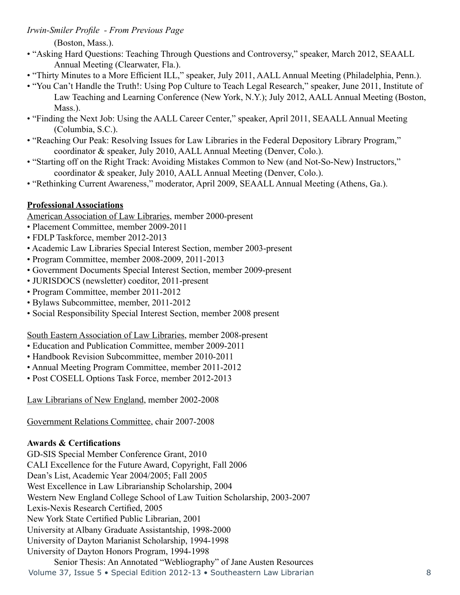*Irwin-Smiler Profile - From Previous Page*

(Boston, Mass.).

- "Asking Hard Questions: Teaching Through Questions and Controversy," speaker, March 2012, SEAALL Annual Meeting (Clearwater, Fla.).
- "Thirty Minutes to a More Efficient ILL," speaker, July 2011, AALL Annual Meeting (Philadelphia, Penn.).
- "You Can't Handle the Truth!: Using Pop Culture to Teach Legal Research," speaker, June 2011, Institute of Law Teaching and Learning Conference (New York, N.Y.); July 2012, AALL Annual Meeting (Boston, Mass.).
- "Finding the Next Job: Using the AALL Career Center," speaker, April 2011, SEAALL Annual Meeting (Columbia, S.C.).
- "Reaching Our Peak: Resolving Issues for Law Libraries in the Federal Depository Library Program," coordinator & speaker, July 2010, AALL Annual Meeting (Denver, Colo.).
- "Starting off on the Right Track: Avoiding Mistakes Common to New (and Not-So-New) Instructors," coordinator & speaker, July 2010, AALL Annual Meeting (Denver, Colo.).
- "Rethinking Current Awareness," moderator, April 2009, SEAALL Annual Meeting (Athens, Ga.).

#### **Professional Associations**

American Association of Law Libraries, member 2000-present

- Placement Committee, member 2009-2011
- FDLP Taskforce, member 2012-2013
- Academic Law Libraries Special Interest Section, member 2003-present
- Program Committee, member 2008-2009, 2011-2013
- Government Documents Special Interest Section, member 2009-present
- JURISDOCS (newsletter) coeditor, 2011-present
- Program Committee, member 2011-2012
- Bylaws Subcommittee, member, 2011-2012
- Social Responsibility Special Interest Section, member 2008 present

South Eastern Association of Law Libraries, member 2008-present

- Education and Publication Committee, member 2009-2011
- Handbook Revision Subcommittee, member 2010-2011
- Annual Meeting Program Committee, member 2011-2012
- Post COSELL Options Task Force, member 2012-2013

Law Librarians of New England, member 2002-2008

Government Relations Committee, chair 2007-2008

#### **Awards & Certifications**

GD-SIS Special Member Conference Grant, 2010 CALI Excellence for the Future Award, Copyright, Fall 2006 Dean's List, Academic Year 2004/2005; Fall 2005 West Excellence in Law Librarianship Scholarship, 2004 Western New England College School of Law Tuition Scholarship, 2003-2007 Lexis-Nexis Research Certified, 2005 New York State Certified Public Librarian, 2001 University at Albany Graduate Assistantship, 1998-2000 University of Dayton Marianist Scholarship, 1994-1998 University of Dayton Honors Program, 1994-1998

```
Volume 37, Issue 5 • Special Edition 2012-13 • Southeastern Law Librarian 8
Senior Thesis: An Annotated "Webliography" of Jane Austen Resources
```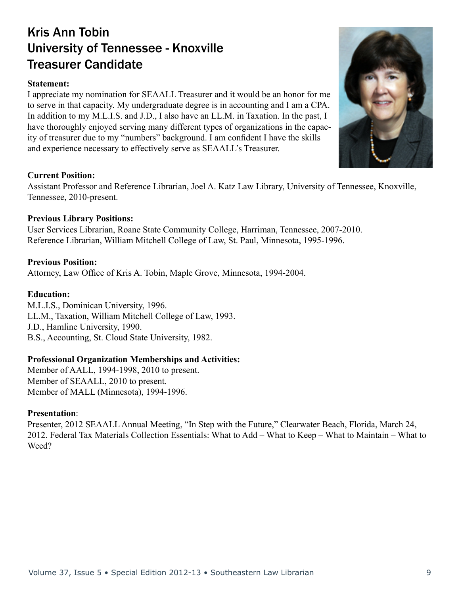# Kris Ann Tobin University of Tennessee - Knoxville Treasurer Candidate

#### **Statement:**

I appreciate my nomination for SEAALL Treasurer and it would be an honor for me to serve in that capacity. My undergraduate degree is in accounting and I am a CPA. In addition to my M.L.I.S. and J.D., I also have an LL.M. in Taxation. In the past, I have thoroughly enjoyed serving many different types of organizations in the capacity of treasurer due to my "numbers" background. I am confident I have the skills and experience necessary to effectively serve as SEAALL's Treasurer.

#### **Current Position:**

Assistant Professor and Reference Librarian, Joel A. Katz Law Library, University of Tennessee, Knoxville, Tennessee, 2010-present.

#### **Previous Library Positions:**

User Services Librarian, Roane State Community College, Harriman, Tennessee, 2007-2010. Reference Librarian, William Mitchell College of Law, St. Paul, Minnesota, 1995-1996.

#### **Previous Position:**

Attorney, Law Office of Kris A. Tobin, Maple Grove, Minnesota, 1994-2004.

#### **Education:**

M.L.I.S., Dominican University, 1996. LL.M., Taxation, William Mitchell College of Law, 1993. J.D., Hamline University, 1990. B.S., Accounting, St. Cloud State University, 1982.

#### **Professional Organization Memberships and Activities:**

Member of AALL, 1994-1998, 2010 to present. Member of SEAALL, 2010 to present. Member of MALL (Minnesota), 1994-1996.

#### **Presentation**:

Presenter, 2012 SEAALL Annual Meeting, "In Step with the Future," Clearwater Beach, Florida, March 24, 2012. Federal Tax Materials Collection Essentials: What to Add – What to Keep – What to Maintain – What to Weed?

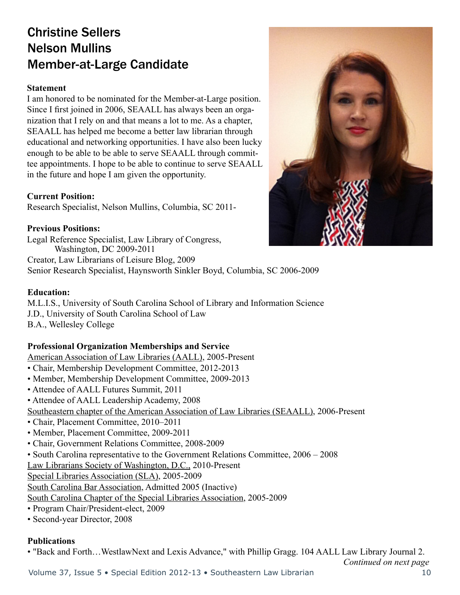# Christine Sellers Nelson Mullins Member-at-Large Candidate

#### **Statement**

I am honored to be nominated for the Member-at-Large position. Since I first joined in 2006, SEAALL has always been an organization that I rely on and that means a lot to me. As a chapter, SEAALL has helped me become a better law librarian through educational and networking opportunities. I have also been lucky enough to be able to be able to serve SEAALL through committee appointments. I hope to be able to continue to serve SEAALL in the future and hope I am given the opportunity.

#### **Current Position:**

Research Specialist, Nelson Mullins, Columbia, SC 2011-

#### **Previous Positions:**

Washington, DC 2009-2011 Creator, Law Librarians of Leisure Blog, 2009 Legal Reference Specialist, Law Library of Congress,

Senior Research Specialist, Haynsworth Sinkler Boyd, Columbia, SC 2006-2009

#### **Education:**

M.L.I.S., University of South Carolina School of Library and Information Science J.D., University of South Carolina School of Law B.A., Wellesley College

#### **Professional Organization Memberships and Service**

American Association of Law Libraries (AALL), 2005-Present

- Chair, Membership Development Committee, 2012-2013
- Member, Membership Development Committee, 2009-2013
- Attendee of AALL Futures Summit, 2011
- Attendee of AALL Leadership Academy, 2008

Southeastern chapter of the American Association of Law Libraries (SEAALL), 2006-Present

- Chair, Placement Committee, 2010–2011
- Member, Placement Committee, 2009-2011
- Chair, Government Relations Committee, 2008-2009
- South Carolina representative to the Government Relations Committee, 2006 2008

Law Librarians Society of Washington, D.C., 2010-Present

Special Libraries Association (SLA), 2005-2009

South Carolina Bar Association, Admitted 2005 (Inactive)

South Carolina Chapter of the Special Libraries Association, 2005-2009

- Program Chair/President-elect, 2009
- Second-year Director, 2008

#### **Publications**

• "Back and Forth…WestlawNext and Lexis Advance," with Phillip Gragg. 104 AALL Law Library Journal 2.

*Continued on next page*

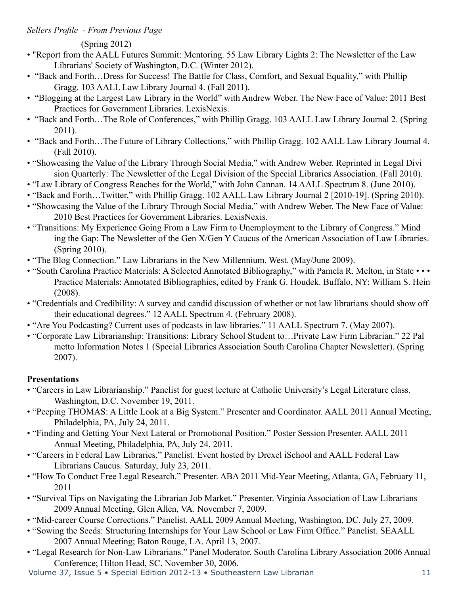#### *Sellers Profile - From Previous Page*

(Spring 2012)

- "Report from the AALL Futures Summit: Mentoring. 55 Law Library Lights 2: The Newsletter of the Law Librarians' Society of Washington, D.C. (Winter 2012).
- "Back and Forth...Dress for Success! The Battle for Class, Comfort, and Sexual Equality," with Phillip Gragg. 103 AALL Law Library Journal 4. (Fall 2011).
- "Blogging at the Largest Law Library in the World" with Andrew Weber. The New Face of Value: 2011 Best Practices for Government Libraries. LexisNexis.
- "Back and Forth...The Role of Conferences," with Phillip Gragg. 103 AALL Law Library Journal 2. (Spring 2011).
- "Back and Forth…The Future of Library Collections," with Phillip Gragg. 102 AALL Law Library Journal 4. (Fall 2010).
- "Showcasing the Value of the Library Through Social Media," with Andrew Weber. Reprinted in Legal Divi sion Quarterly: The Newsletter of the Legal Division of the Special Libraries Association. (Fall 2010).
- "Law Library of Congress Reaches for the World," with John Cannan. 14 AALL Spectrum 8. (June 2010).
- "Back and Forth…Twitter," with Phillip Gragg. 102 AALL Law Library Journal 2 [2010-19]. (Spring 2010).
- "Showcasing the Value of the Library Through Social Media," with Andrew Weber. The New Face of Value: 2010 Best Practices for Government Libraries. LexisNexis.
- "Transitions: My Experience Going From a Law Firm to Unemployment to the Library of Congress." Mind ing the Gap: The Newsletter of the Gen X/Gen Y Caucus of the American Association of Law Libraries. (Spring 2010).
- "The Blog Connection." Law Librarians in the New Millennium. West. (May/June 2009).
- "South Carolina Practice Materials: A Selected Annotated Bibliography," with Pamela R. Melton, in State • Practice Materials: Annotated Bibliographies, edited by Frank G. Houdek. Buffalo, NY: William S. Hein (2008).
- "Credentials and Credibility: A survey and candid discussion of whether or not law librarians should show off their educational degrees." 12 AALL Spectrum 4. (February 2008).
- "Are You Podcasting? Current uses of podcasts in law libraries." 11 AALL Spectrum 7. (May 2007).
- "Corporate Law Librarianship: Transitions: Library School Student to…Private Law Firm Librarian." 22 Pal metto Information Notes 1 (Special Libraries Association South Carolina Chapter Newsletter). (Spring 2007).

#### **Presentations**

- "Careers in Law Librarianship." Panelist for guest lecture at Catholic University's Legal Literature class. Washington, D.C. November 19, 2011.
- "Peeping THOMAS: A Little Look at a Big System." Presenter and Coordinator. AALL 2011 Annual Meeting, Philadelphia, PA, July 24, 2011.
- "Finding and Getting Your Next Lateral or Promotional Position." Poster Session Presenter. AALL 2011 Annual Meeting, Philadelphia, PA, July 24, 2011.
- "Careers in Federal Law Libraries." Panelist. Event hosted by Drexel iSchool and AALL Federal Law Librarians Caucus. Saturday, July 23, 2011.
- "How To Conduct Free Legal Research." Presenter. ABA 2011 Mid-Year Meeting, Atlanta, GA, February 11, 2011
- "Survival Tips on Navigating the Librarian Job Market." Presenter. Virginia Association of Law Librarians 2009 Annual Meeting, Glen Allen, VA. November 7, 2009.
- "Mid-career Course Corrections." Panelist. AALL 2009 Annual Meeting, Washington, DC. July 27, 2009.
- "Sowing the Seeds: Structuring Internships for Your Law School or Law Firm Office." Panelist. SEAALL 2007 Annual Meeting; Baton Rouge, LA. April 13, 2007.
- "Legal Research for Non-Law Librarians." Panel Moderator. South Carolina Library Association 2006 Annual Conference; Hilton Head, SC. November 30, 2006.
- Volume 37, Issue 5 Special Edition 2012-13 Southeastern Law Librarian 11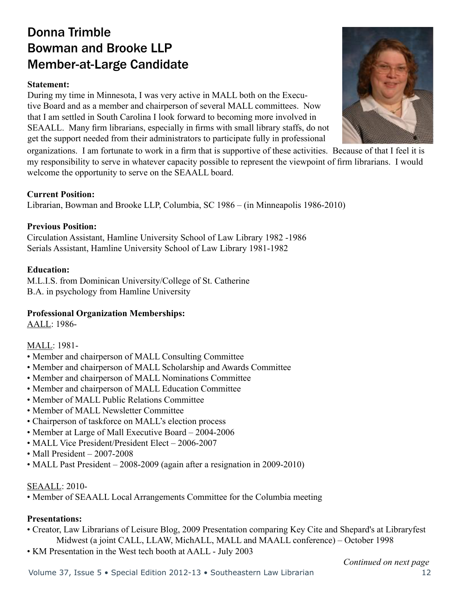# Donna Trimble Bowman and Brooke LLP Member-at-Large Candidate

#### **Statement:**

During my time in Minnesota, I was very active in MALL both on the Executive Board and as a member and chairperson of several MALL committees. Now that I am settled in South Carolina I look forward to becoming more involved in SEAALL. Many firm librarians, especially in firms with small library staffs, do not get the support needed from their administrators to participate fully in professional

organizations. I am fortunate to work in a firm that is supportive of these activities. Because of that I feel it is my responsibility to serve in whatever capacity possible to represent the viewpoint of firm librarians. I would welcome the opportunity to serve on the SEAALL board.

#### **Current Position:**

Librarian, Bowman and Brooke LLP, Columbia, SC 1986 – (in Minneapolis 1986-2010)

#### **Previous Position:**

Circulation Assistant, Hamline University School of Law Library 1982 -1986 Serials Assistant, Hamline University School of Law Library 1981-1982

#### **Education:**

M.L.I.S. from Dominican University/College of St. Catherine B.A. in psychology from Hamline University

#### **Professional Organization Memberships:**

AALL: 1986-

#### MALL: 1981-

- Member and chairperson of MALL Consulting Committee
- Member and chairperson of MALL Scholarship and Awards Committee
- Member and chairperson of MALL Nominations Committee
- Member and chairperson of MALL Education Committee
- Member of MALL Public Relations Committee
- Member of MALL Newsletter Committee
- Chairperson of taskforce on MALL's election process
- Member at Large of Mall Executive Board 2004-2006
- MALL Vice President/President Elect 2006-2007
- Mall President 2007-2008
- MALL Past President 2008-2009 (again after a resignation in 2009-2010)

#### SEAALL: 2010-

• Member of SEAALL Local Arrangements Committee for the Columbia meeting

#### **Presentations:**

- Creator, Law Librarians of Leisure Blog, 2009 Presentation comparing Key Cite and Shepard's at Libraryfest Midwest (a joint CALL, LLAW, MichALL, MALL and MAALL conference) – October 1998
- KM Presentation in the West tech booth at AALL July 2003